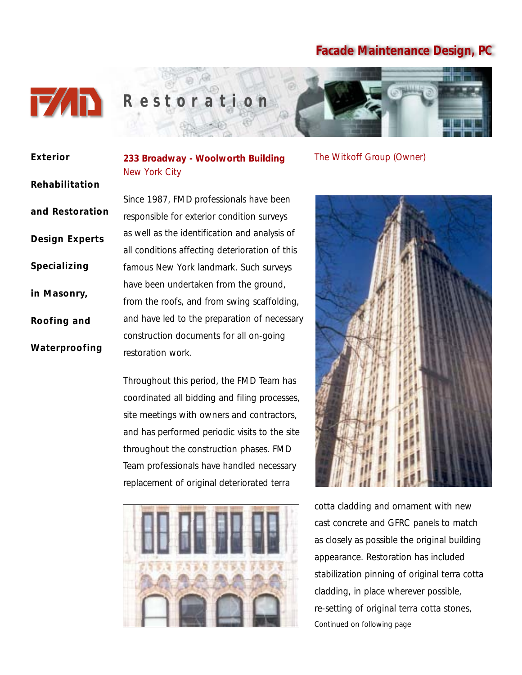

**Exterior**

# *R estoration*

| EXTELIOI              |
|-----------------------|
| Rehabilitation        |
| and Restoration       |
| <b>Design Experts</b> |
| <b>Specializing</b>   |
| in Masonry,           |
| Roofing and           |
|                       |

**Waterproofing**

**233 Broadway - Woolworth Building** New York City

Since 1987, FMD professionals have been responsible for exterior condition surveys as well as the identification and analysis of all conditions affecting deterioration of this famous New York landmark. Such surveys have been undertaken from the ground, from the roofs, and from swing scaffolding, and have led to the preparation of necessary construction documents for all on-going restoration work.

Throughout this period, the FMD Team has coordinated all bidding and filing processes, site meetings with owners and contractors, and has performed periodic visits to the site throughout the construction phases. FMD Team professionals have handled necessary replacement of original deteriorated terra



The Witkoff Group (Owner)



cotta cladding and ornament with new cast concrete and GFRC panels to match as closely as possible the original building appearance. Restoration has included stabilization pinning of original terra cotta cladding, in place wherever possible, re-setting of original terra cotta stones, *Continued on following page*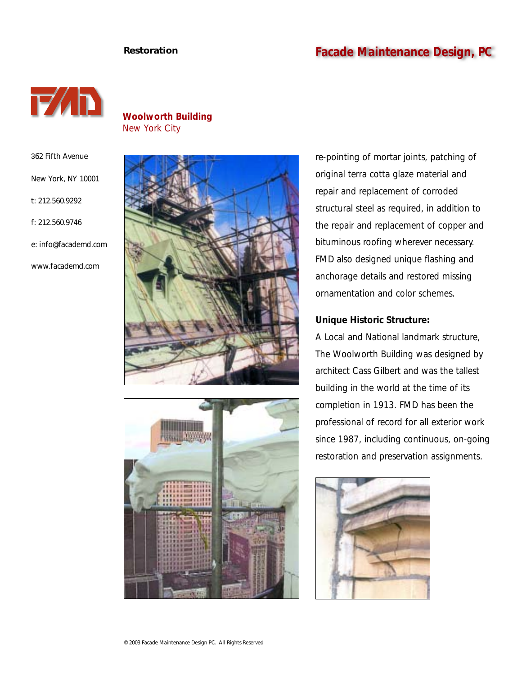## **Restoration Facade Maintenance Design, PC**



**Woolworth Building** New York City

362 Fifth Avenue

New York, NY 10001

t: 212.560.9292

f: 212.560.9746

e: info@facademd.com

www.facademd.com





re-pointing of mortar joints, patching of original terra cotta glaze material and repair and replacement of corroded structural steel as required, in addition to the repair and replacement of copper and bituminous roofing wherever necessary. FMD also designed unique flashing and anchorage details and restored missing ornamentation and color schemes.

#### **Unique Historic Structure:**

A Local and National landmark structure, The Woolworth Building was designed by architect Cass Gilbert and was the tallest building in the world at the time of its completion in 1913. FMD has been the professional of record for all exterior work since 1987, including continuous, on-going restoration and preservation assignments.

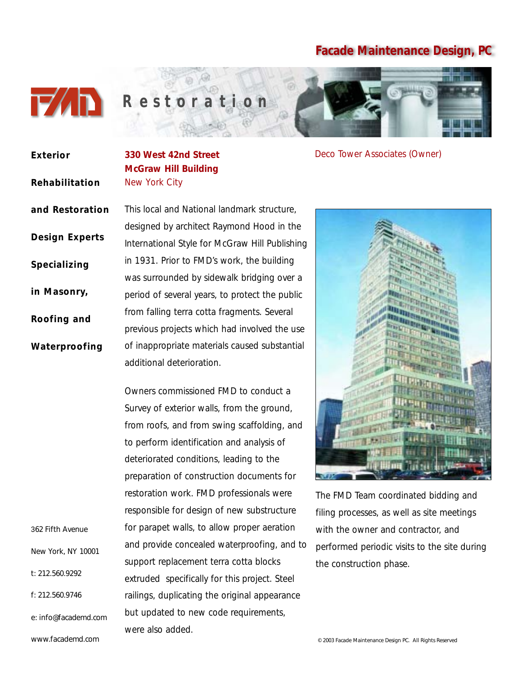

| <b>Exterior</b>       | 33                  |
|-----------------------|---------------------|
| Rehabilitation        | M<br>N <sub>6</sub> |
| and Restoration       | Th                  |
|                       | $d\epsilon$         |
| <b>Design Experts</b> | Int                 |
| Specializing          |                     |
|                       |                     |
| Roofing and           | fro                 |
|                       | pr                  |
| Waterproofing         | of                  |
|                       | ad                  |
|                       | $\overline{O}$      |
|                       | Su                  |
|                       | fro                 |
|                       | to                  |
|                       | $d\epsilon$         |
|                       | pr                  |
|                       | re:                 |
|                       | re:                 |
| 362 Fifth Avenue      | fo                  |
| New York, NY 10001    | ar                  |
| t: 212.560.9292       | SU                  |
|                       |                     |

f: 212.560.9746

e: info@facademd.com

www.facademd.com

**330 West 42nd Street McGraw Hill Building** ew York City

Deco Tower Associates (Owner)

his local and National landmark structure, esigned by architect Raymond Hood in the ternational Style for McGraw Hill Publishing 1931. Prior to FMD's work, the building as surrounded by sidewalk bridging over a period of several years, to protect the public om falling terra cotta fragments. Several evious projects which had involved the use inappropriate materials caused substantial ditional deterioration.

wners commissioned FMD to conduct a and yet of exterior walls, from the ground, om roofs, and from swing scaffolding, and perform identification and analysis of eteriorated conditions, leading to the reparation of construction documents for storation work. FMD professionals were sponsible for design of new substructure or parapet walls, to allow proper aeration and provide concealed waterproofing, and to pport replacement terra cotta blocks extruded specifically for this project. Steel railings, duplicating the original appearance but updated to new code requirements, were also added.



The FMD Team coordinated bidding and filing processes, as well as site meetings with the owner and contractor, and performed periodic visits to the site during the construction phase.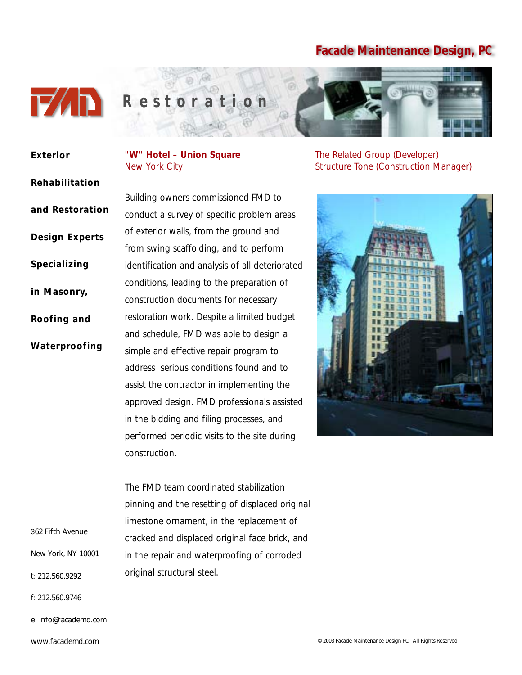

#### Building owners commissioned FMD to conduct a survey of specific problem areas of exterior walls, from the ground and from swing scaffolding, and to perform identification and analysis of all deteriorated conditions, leading to the preparation of construction documents for necessary restoration work. Despite a limited budget and schedule, FMD was able to design a simple and effective repair program to address serious conditions found and to assist the contractor in implementing the approved design. FMD professionals assisted in the bidding and filing processes, and performed periodic visits to the site during **Exterior Rehabilitation and Restoration Design Experts Specializing in Masonry, Roofing and Waterproofing**

"W" Hotel - Union Square The Related Group (Developer)

New York City Structure Tone (Construction Manager)



The FMD team coordinated stabilization pinning and the resetting of displaced original limestone ornament, in the replacement of cracked and displaced original face brick, and in the repair and waterproofing of corroded original structural steel.

construction.

362 Fifth Avenue

New York, NY 10001

t: 212.560.9292

f: 212.560.9746

e: info@facademd.com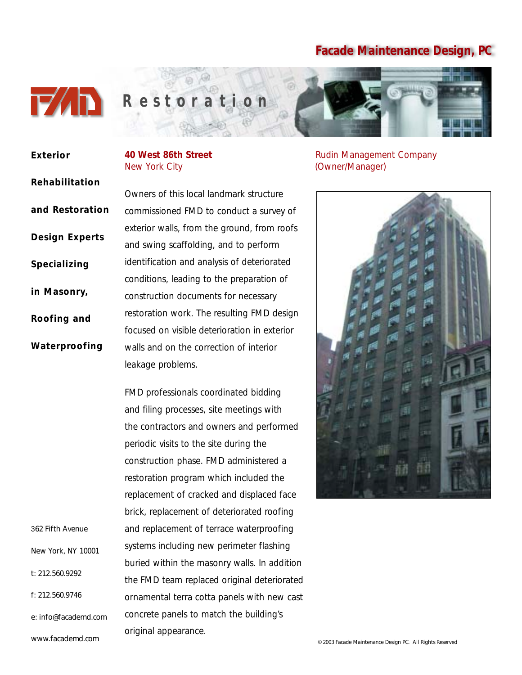

**Rehabilitation**

**and Restoration**

**Design Experts**

**Specializing** 

**in Masonry,**

**Roofing and**

**Waterproofing**

**Exterior**

## New York City (Owner/Manager)

Owners of this local landmark structure commissioned FMD to conduct a survey of exterior walls, from the ground, from roofs and swing scaffolding, and to perform identification and analysis of deteriorated conditions, leading to the preparation of construction documents for necessary restoration work. The resulting FMD design focused on visible deterioration in exterior walls and on the correction of interior leakage problems.

FMD professionals coordinated bidding and filing processes, site meetings with the contractors and owners and performed periodic visits to the site during the construction phase. FMD administered a restoration program which included the replacement of cracked and displaced face brick, replacement of deteriorated roofing and replacement of terrace waterproofing systems including new perimeter flashing buried within the masonry walls. In addition the FMD team replaced original deteriorated ornamental terra cotta panels with new cast concrete panels to match the building's original appearance.

**40 West 86th Street All and Street** Rudin Management Company



362 Fifth Avenue

t: 212.560.9292

f: 212.560.9746

New York, NY 10001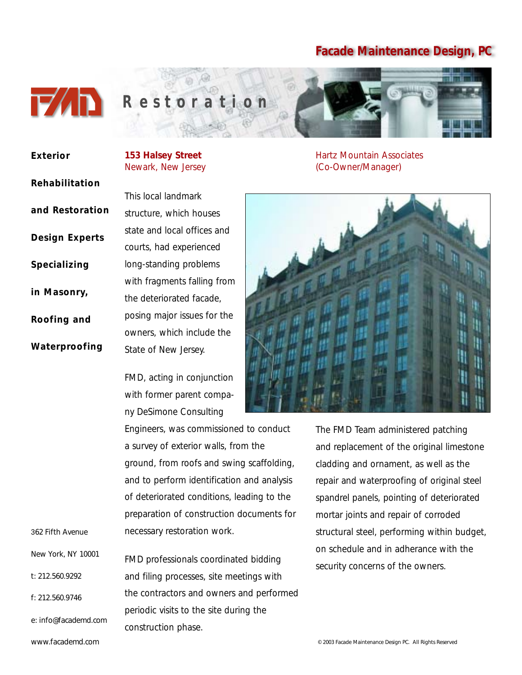

## *R estoration*

| Exterior              | 153 <sub>h</sub><br>Newa |
|-----------------------|--------------------------|
| Rehabilitation        |                          |
|                       | This I                   |
| and Restoration       | struct                   |
| <b>Design Experts</b> | state                    |
|                       | court:                   |
| Specializing          | long-:                   |
| in Masonry,           | with 1                   |
|                       | the d                    |
| Roofing and           | posin                    |
|                       | owne                     |
| Waterproofing         | State                    |

**Halsey Street** ark, New Jersey

ocal landmark ure, which houses and local offices and s, had experienced standing problems fragments falling from eteriorated facade, g major issues for the ers, which include the of New Jersey.

FMD, acting in conjunction with former parent company DeSimone Consulting

Engineers, was commissioned to conduct a survey of exterior walls, from the ground, from roofs and swing scaffolding, and to perform identification and analysis of deteriorated conditions, leading to the preparation of construction documents for necessary restoration work.

FMD professionals coordinated bidding and filing processes, site meetings with the contractors and owners and performed periodic visits to the site during the construction phase.

Hartz Mountain Associates (Co-Owner/Manager)



The FMD Team administered patching and replacement of the original limestone cladding and ornament, as well as the repair and waterproofing of original steel spandrel panels, pointing of deteriorated mortar joints and repair of corroded structural steel, performing within budget, on schedule and in adherance with the security concerns of the owners.

www.facademd.com

e: info@facademd.com

362 Fifth Avenue

t: 212.560.9292

f: 212.560.9746

New York, NY 10001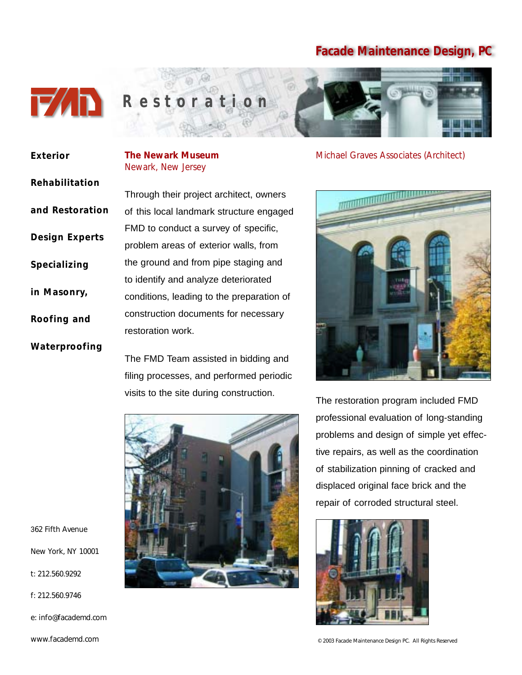

**Exterior**

## **The Newark Museum**

**Rehabilitation and Restoration Design Experts Specializing in Masonry,**

**Roofing and**

**Waterproofing**

Newark, New Jersey Through their project architect, owners

of this local landmark structure engaged FMD to conduct a survey of specific, problem areas of exterior walls, from the ground and from pipe staging and to identify and analyze deteriorated conditions, leading to the preparation of construction documents for necessary restoration work.

The FMD Team assisted in bidding and filing processes, and performed periodic visits to the site during construction.



Michael Graves Associates (Architect)



The restoration program included FMD professional evaluation of long-standing problems and design of simple yet effective repairs, as well as the coordination of stabilization pinning of cracked and displaced original face brick and the repair of corroded structural steel.



362 Fifth Avenue

New York, NY 10001

t: 212.560.9292

f: 212.560.9746

e: info@facademd.com

www.facademd.com

© 2003 Facade Maintenance Design PC. All Rights Reserved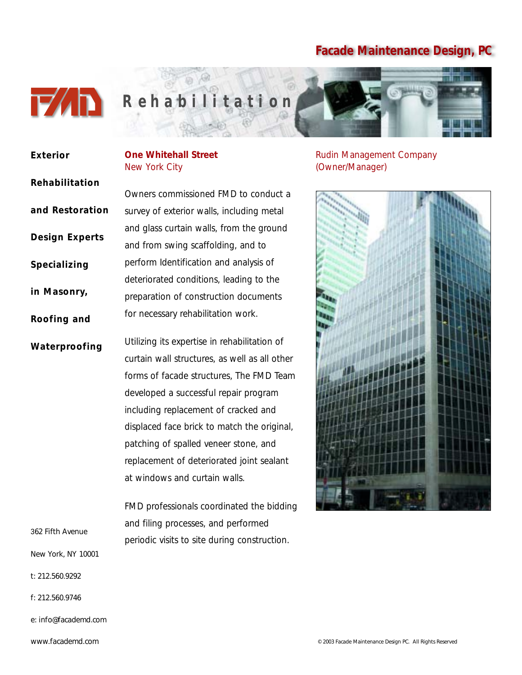

# *R ehabilitation*

periodic visits to site during construction.

| <b>Exterior</b>       | <b>One Whitehall Street</b><br>New York City  |
|-----------------------|-----------------------------------------------|
| Rehabilitation        |                                               |
|                       | Owners commissioned FMD to conduct a          |
| and Restoration       | survey of exterior walls, including metal     |
| <b>Design Experts</b> | and glass curtain walls, from the ground      |
|                       | and from swing scaffolding, and to            |
| Specializing          | perform Identification and analysis of        |
|                       | deteriorated conditions, leading to the       |
| in Masonry,           | preparation of construction documents         |
| Roofing and           | for necessary rehabilitation work.            |
| Waterproofing         | Utilizing its expertise in rehabilitation of  |
|                       | curtain wall structures, as well as all other |
|                       | forms of facade structures, The FMD Team      |
|                       | developed a successful repair program         |
|                       | including replacement of cracked and          |
|                       | displaced face brick to match the original,   |
|                       | patching of spalled veneer stone, and         |
|                       | replacement of deteriorated joint sealant     |
|                       | at windows and curtain walls.                 |
|                       | FMD professionals coordinated the bidding     |
| 362 Fifth Avenue      | and filing processes, and performed           |

New York, NY 10001

- t: 212.560.9292
- f: 212.560.9746
- e: info@facademd.com

#### Rudin Management Company (Owner/Manager)

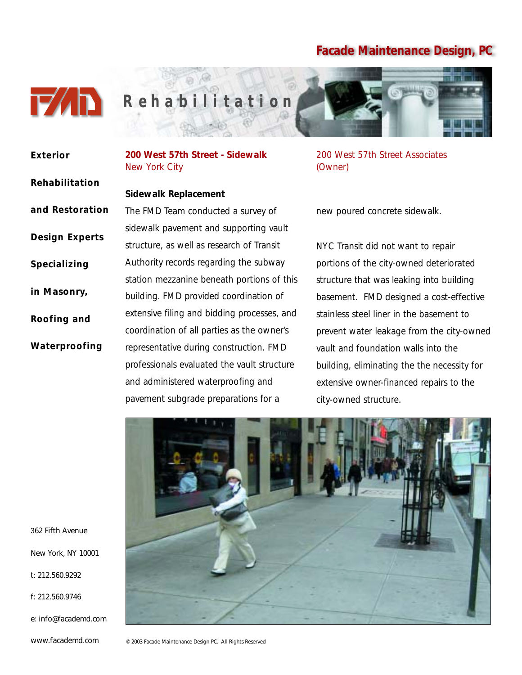

*R ehabilitation*

## **Exterior Rehabilitation and Restoration Design Experts Specializing in Masonry, Roofing and Waterproofing**

**200 West 57th Street - Sidewalk** New York City

#### **Sidewalk Replacement**

The FMD Team conducted a survey of sidewalk pavement and supporting vault structure, as well as research of Transit Authority records regarding the subway station mezzanine beneath portions of this building. FMD provided coordination of extensive filing and bidding processes, and coordination of all parties as the owner's representative during construction. FMD professionals evaluated the vault structure and administered waterproofing and pavement subgrade preparations for a

200 West 57th Street Associates (Owner)

new poured concrete sidewalk.

NYC Transit did not want to repair portions of the city-owned deteriorated structure that was leaking into building basement. FMD designed a cost-effective stainless steel liner in the basement to prevent water leakage from the city-owned vault and foundation walls into the building, eliminating the the necessity for extensive owner-financed repairs to the city-owned structure.



362 Fifth Avenue

New York, NY 10001

t: 212.560.9292

f: 212.560.9746

e: info@facademd.com www.facademd.com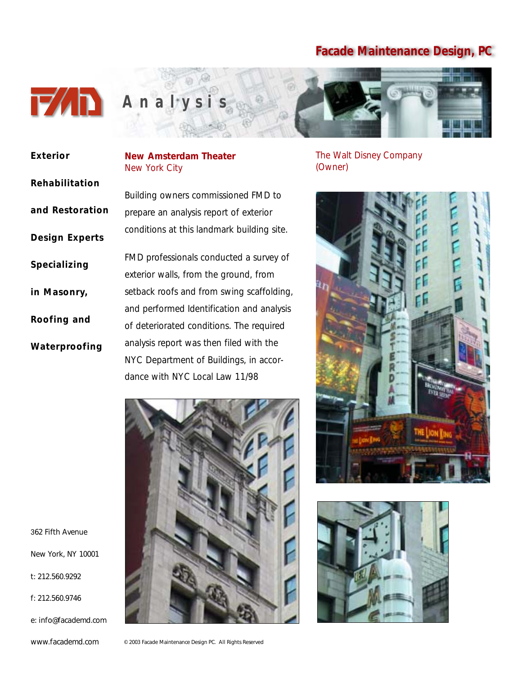

| Exterior              | New Amsterd<br>New York City |
|-----------------------|------------------------------|
| Rehabilitation        |                              |
|                       | <b>Building owner</b>        |
| and Restoration       | prepare an ana               |
| <b>Design Experts</b> | conditions at th             |
| Specializing          | <b>FMD</b> profession        |
|                       | exterior walls, 1            |
| in Masonry,           | setback roofs a              |
| Roofing and           | and performed                |
|                       | of deteriorated              |
| Waterproofing         | analysis report              |

## **Neater**

s commissioned FMD to alysis report of exterior his landmark building site.

nals conducted a survey of from the ground, from and from swing scaffolding, Identification and analysis conditions. The required was then filed with the NYC Department of Buildings, in accordance with NYC Local Law 11/98



The Walt Disney Company (Owner)





362 Fifth Avenue

New York, NY 10001

t: 212.560.9292

f: 212.560.9746

e: info@facademd.com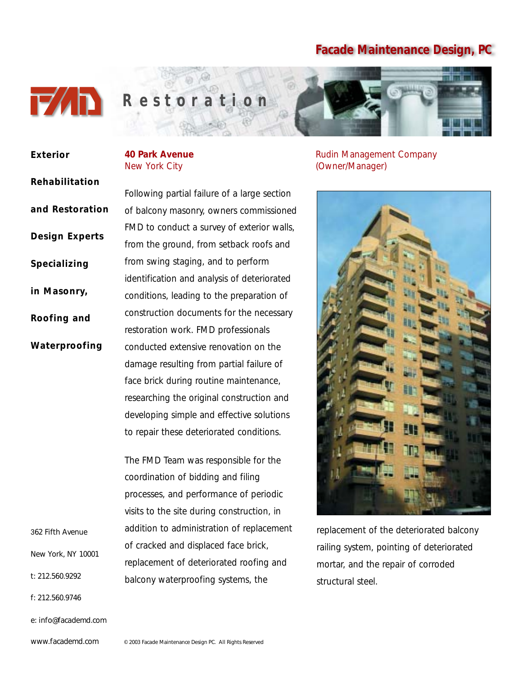

**Rehabilitation**

**and Restoration**

**Design Experts**

**Specializing** 

**in Masonry,**

**Roofing and**

**Waterproofing**

**Exterior**

#### **40 Park Avenue** New York City

Rudin Management Company (Owner/Manager)



replacement of the deteriorated balcony railing system, pointing of deteriorated mortar, and the repair of corroded structural steel.

Following partial failure of a large section of balcony masonry, owners commissioned FMD to conduct a survey of exterior walls, from the ground, from setback roofs and from swing staging, and to perform identification and analysis of deteriorated conditions, leading to the preparation of construction documents for the necessary restoration work. FMD professionals conducted extensive renovation on the damage resulting from partial failure of face brick during routine maintenance, researching the original construction and developing simple and effective solutions to repair these deteriorated conditions.

The FMD Team was responsible for the coordination of bidding and filing processes, and performance of periodic visits to the site during construction, in addition to administration of replacement of cracked and displaced face brick, replacement of deteriorated roofing and balcony waterproofing systems, the

362 Fifth Avenue

New York, NY 10001

t: 212.560.9292

f: 212.560.9746

e: info@facademd.com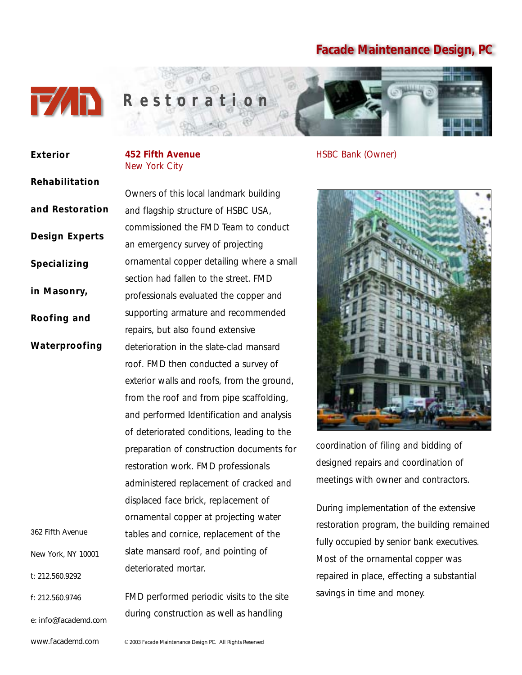

## New York City **Exterior Rehabilitation and Restoration Design Experts Specializing in Masonry, Roofing and Waterproofing** 362 Fifth Avenue New York, NY 10001 t: 212.560.9292 f: 212.560.9746 e: info@facademd.com

**452 Fifth Avenue**

Owners of this local landmark building and flagship structure of HSBC USA, commissioned the FMD Team to conduct an emergency survey of projecting ornamental copper detailing where a small section had fallen to the street. FMD professionals evaluated the copper and supporting armature and recommended repairs, but also found extensive deterioration in the slate-clad mansard roof. FMD then conducted a survey of exterior walls and roofs, from the ground, from the roof and from pipe scaffolding, and performed Identification and analysis of deteriorated conditions, leading to the preparation of construction documents for restoration work. FMD professionals administered replacement of cracked and displaced face brick, replacement of ornamental copper at projecting water tables and cornice, replacement of the slate mansard roof, and pointing of deteriorated mortar.

FMD performed periodic visits to the site during construction as well as handling

HSBC Bank (Owner)



coordination of filing and bidding of designed repairs and coordination of meetings with owner and contractors.

During implementation of the extensive restoration program, the building remained fully occupied by senior bank executives. Most of the ornamental copper was repaired in place, effecting a substantial savings in time and money.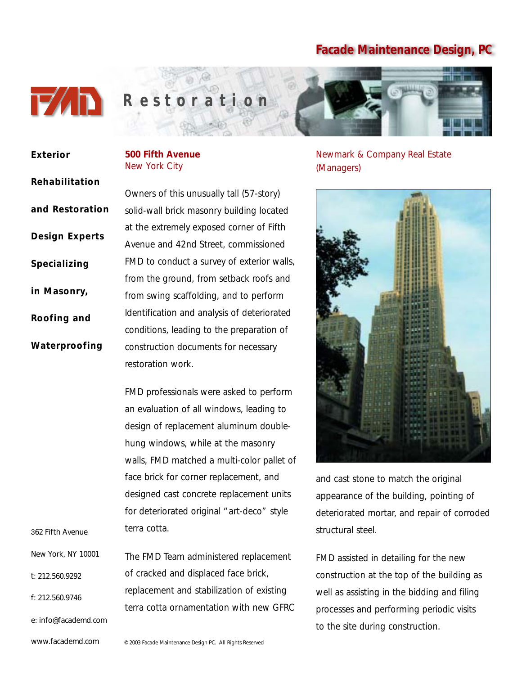

**Rehabilitation**

**and Restoration**

**Design Experts**

**Specializing** 

**in Masonry,**

**Roofing and**

**Waterproofing**

**Exterior**

#### **500 Fifth Avenue** New York City

Owners of this unusually tall (57-story) solid-wall brick masonry building located at the extremely exposed corner of Fifth Avenue and 42nd Street, commissioned FMD to conduct a survey of exterior walls, from the ground, from setback roofs and from swing scaffolding, and to perform Identification and analysis of deteriorated conditions, leading to the preparation of construction documents for necessary restoration work.

FMD professionals were asked to perform an evaluation of all windows, leading to design of replacement aluminum doublehung windows, while at the masonry walls, FMD matched a multi-color pallet of face brick for corner replacement, and designed cast concrete replacement units for deteriorated original "art-deco" style terra cotta.

The FMD Team administered replacement of cracked and displaced face brick, replacement and stabilization of existing terra cotta ornamentation with new GFRC New York, NY 10001

Newmark & Company Real Estate (Managers)



and cast stone to match the original appearance of the building, pointing of deteriorated mortar, and repair of corroded structural steel.

FMD assisted in detailing for the new construction at the top of the building as well as assisting in the bidding and filing processes and performing periodic visits to the site during construction.

362 Fifth Avenue

t: 212.560.9292

f: 212.560.9746

e: info@facademd.com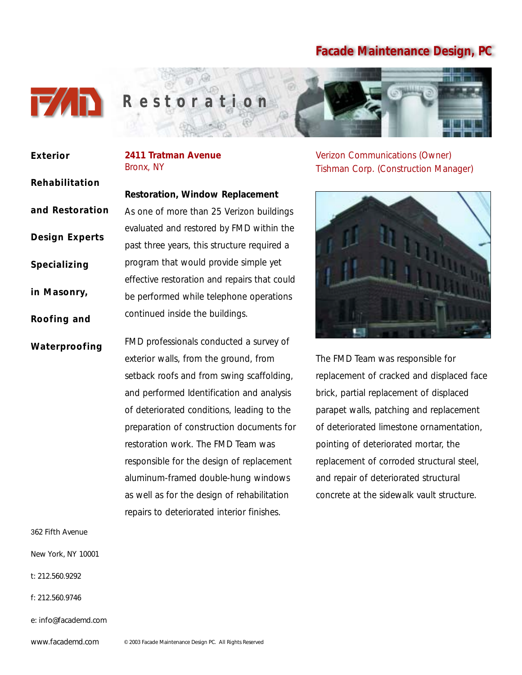

**Rehabilitation**

**and Restoration**

**Design Experts**

**Specializing** 

**in Masonry,**

**Roofing and**

**Waterproofing**

**Exterior**

#### **2411 Tratman Avenue** Bronx, NY

**Restoration, Window Replacement** As one of more than 25 Verizon buildings evaluated and restored by FMD within the past three years, this structure required a program that would provide simple yet effective restoration and repairs that could be performed while telephone operations continued inside the buildings.

FMD professionals conducted a survey of exterior walls, from the ground, from setback roofs and from swing scaffolding, and performed Identification and analysis of deteriorated conditions, leading to the preparation of construction documents for restoration work. The FMD Team was responsible for the design of replacement aluminum-framed double-hung windows as well as for the design of rehabilitation repairs to deteriorated interior finishes.

Verizon Communications (Owner) Tishman Corp. (Construction Manager)



The FMD Team was responsible for replacement of cracked and displaced face brick, partial replacement of displaced parapet walls, patching and replacement of deteriorated limestone ornamentation, pointing of deteriorated mortar, the replacement of corroded structural steel, and repair of deteriorated structural concrete at the sidewalk vault structure.

362 Fifth Avenue

New York, NY 10001

- t: 212.560.9292
- f: 212.560.9746

e: info@facademd.com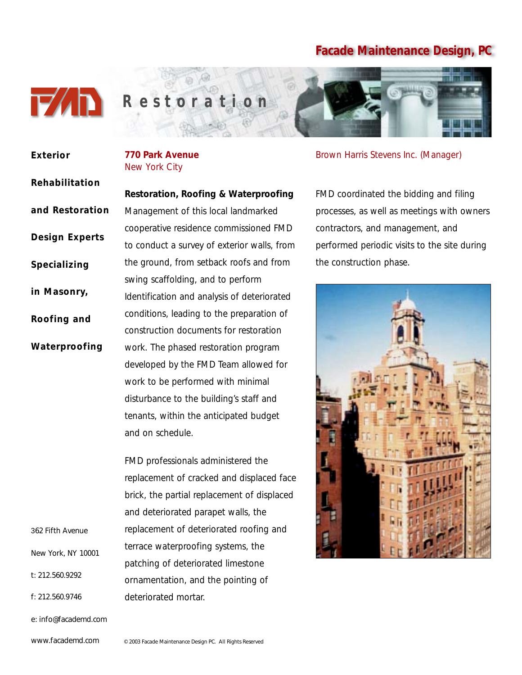

| <b>Exterior</b>       | <b>770 Park Avenue</b><br>New York City     |
|-----------------------|---------------------------------------------|
| Rehabilitation        |                                             |
|                       | Restoration, Roofing & Waterproofing        |
| and Restoration       | Management of this local landmarked         |
| <b>Design Experts</b> | cooperative residence commissioned FMD      |
|                       | to conduct a survey of exterior walls, from |
| Specializing          | the ground, from setback roofs and from     |
|                       | swing scaffolding, and to perform           |
| in Masonry,           | Identification and analysis of deteriorated |
| Roofing and           | conditions, leading to the preparation of   |
|                       | construction documents for restoration      |
| Waterproofing         | work. The phased restoration program        |
|                       | developed by the FMD Team allowed for       |
|                       | work to be performed with minimal           |
|                       | disturbance to the building's staff and     |
|                       | tenants, within the anticipated budget      |
|                       | and on schedule.                            |
|                       |                                             |
|                       | FMD professionals administered the          |
|                       | replacement of cracked and displaced face   |
|                       | brick, the partial replacement of displaced |
|                       | and deteriorated parapet walls, the         |
| 362 Fifth Avenue      | replacement of deteriorated roofing and     |
|                       |                                             |

New York, NY 10001

t: 212.560.9292

f: 212.560.9746

e: info@facademd.com

www.facademd.com

deteriorated mortar.

Brown Harris Stevens Inc. (Manager)

FMD coordinated the bidding and filing processes, as well as meetings with owners contractors, and management, and performed periodic visits to the site during the construction phase.



© 2003 Facade Maintenance Design PC. All Rights Reserved

terrace waterproofing systems, the patching of deteriorated limestone

ornamentation, and the pointing of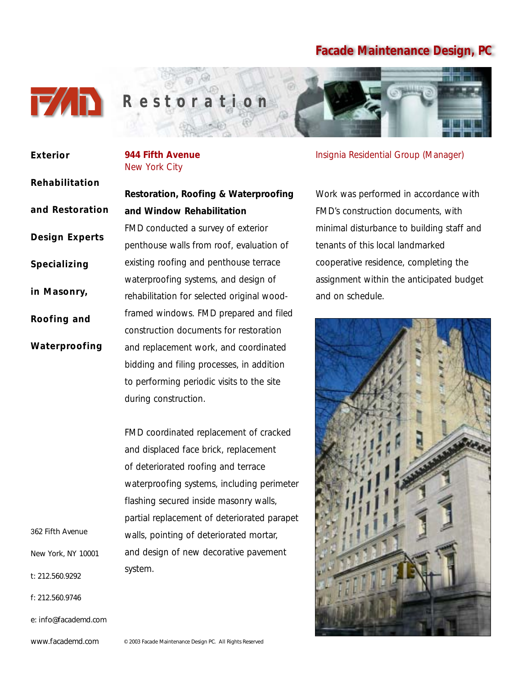

## **944 Fifth Avenue** New York City **and Window Rehabilitation Exterior Rehabilitation and Restoration Design Experts Specializing in Masonry, Roofing and Waterproofing**

362 Fifth Avenue

New York, NY 10001

t: 212.560.9292

f: 212.560.9746

e: info@facademd.com

www.facademd.com

**Restoration, Roofing & Waterproofing**

FMD conducted a survey of exterior

penthouse walls from roof, evaluation of existing roofing and penthouse terrace waterproofing systems, and design of rehabilitation for selected original woodframed windows. FMD prepared and filed construction documents for restoration and replacement work, and coordinated bidding and filing processes, in addition to performing periodic visits to the site during construction.

FMD coordinated replacement of cracked and displaced face brick, replacement of deteriorated roofing and terrace waterproofing systems, including perimeter flashing secured inside masonry walls, partial replacement of deteriorated parapet walls, pointing of deteriorated mortar, and design of new decorative pavement system.

Insignia Residential Group (Manager)

Work was performed in accordance with FMD's construction documents, with minimal disturbance to building staff and tenants of this local landmarked cooperative residence, completing the assignment within the anticipated budget and on schedule.



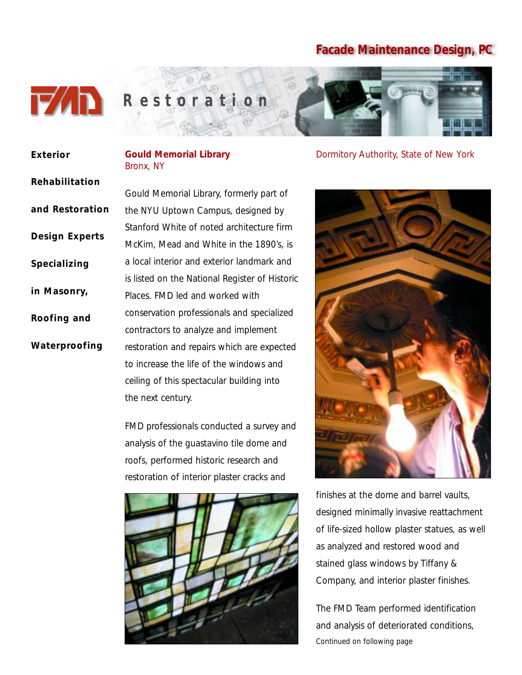

**Rehabilitation**

**and Restoration**

**Design Experts**

**Specializing** 

**in Masonry,**

**Roofing and**

**Waterproofing**

**Exterior**

#### **Gould Memorial Library**  Bronx, NY

Gould Memorial Library, formerly part of the NYU Uptown Campus, designed by Stanford White of noted architecture firm McKim, Mead and White in the 1890's, is a local interior and exterior landmark and is listed on the National Register of Historic Places. FMD led and worked with conservation professionals and specialized contractors to analyze and implement restoration and repairs which are expected to increase the life of the windows and ceiling of this spectacular building into the next century.

FMD professionals conducted a survey and analysis of the guastavino tile dome and roofs, performed historic research and restoration of interior plaster cracks and



Dormitory Authority, State of New York



finishes at the dome and barrel vaults, designed minimally invasive reattachment of life-sized hollow plaster statues, as well as analyzed and restored wood and stained glass windows by Tiffany & Company, and interior plaster finishes.

The FMD Team performed identification and analysis of deteriorated conditions, *Continued on following page*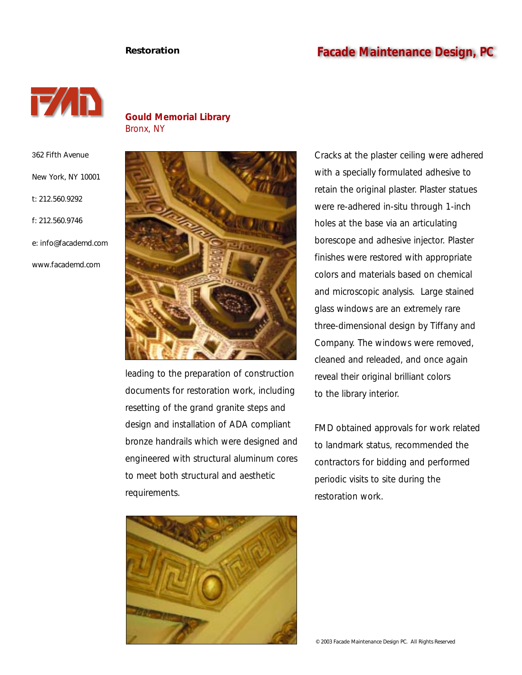#### **Restoration Facade Maintenance Design, PC**



**Gould Memorial Library**  Bronx, NY

362 Fifth Avenue New York, NY 10001 t: 212.560.9292 f: 212.560.9746 e: info@facademd.com www.facademd.com



leading to the preparation of construction documents for restoration work, including resetting of the grand granite steps and design and installation of ADA compliant bronze handrails which were designed and engineered with structural aluminum cores to meet both structural and aesthetic requirements.



Cracks at the plaster ceiling were adhered with a specially formulated adhesive to retain the original plaster. Plaster statues were re-adhered in-situ through 1-inch holes at the base via an articulating borescope and adhesive injector. Plaster finishes were restored with appropriate colors and materials based on chemical and microscopic analysis. Large stained glass windows are an extremely rare three-dimensional design by Tiffany and Company. The windows were removed, cleaned and releaded, and once again reveal their original brilliant colors to the library interior.

FMD obtained approvals for work related to landmark status, recommended the contractors for bidding and performed periodic visits to site during the restoration work.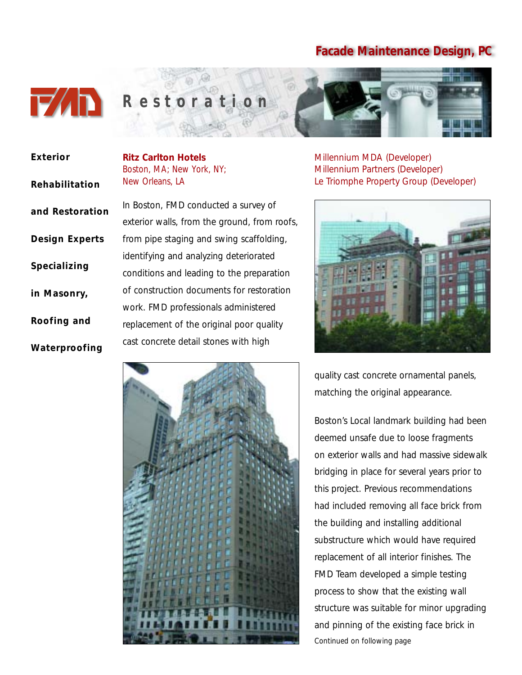

| <b>Exterior</b>       | <b>Ritz Carlton Hotels</b><br>Boston, MA; New York, |
|-----------------------|-----------------------------------------------------|
| Rehabilitation        | New Orleans, LA                                     |
| and Restoration       | In Boston, FMD condu                                |
|                       | exterior walls, from the                            |
| <b>Design Experts</b> | from pipe staging and                               |
| Specializing          | identifying and analyzi                             |
|                       | conditions and leading                              |
| in Masonry,           | of construction docum                               |
|                       | work. FMD professiona                               |
| Roofing and           | replacement of the ori                              |
| Waterproofing         | cast concrete detail sto                            |

# NY:

cted a survey of e ground, from roofs, swing scaffolding, ng deteriorated to the preparation ents for restoration als administered ginal poor quality ones with high



Millennium MDA (Developer) Millennium Partners (Developer) Le Triomphe Property Group (Developer)



quality cast concrete ornamental panels, matching the original appearance.

Boston's Local landmark building had been deemed unsafe due to loose fragments on exterior walls and had massive sidewalk bridging in place for several years prior to this project. Previous recommendations had included removing all face brick from the building and installing additional substructure which would have required replacement of all interior finishes. The FMD Team developed a simple testing process to show that the existing wall structure was suitable for minor upgrading and pinning of the existing face brick in *Continued on following page*